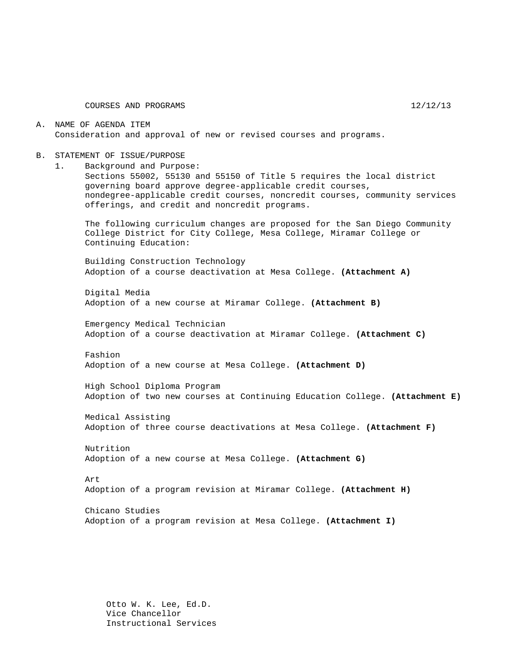COURSES AND PROGRAMS 12/12/13

A. NAME OF AGENDA ITEM Consideration and approval of new or revised courses and programs.

- B. STATEMENT OF ISSUE/PURPOSE
	- 1. Background and Purpose:

Sections 55002, 55130 and 55150 of Title 5 requires the local district governing board approve degree-applicable credit courses, nondegree-applicable credit courses, noncredit courses, community services offerings, and credit and noncredit programs.

The following curriculum changes are proposed for the San Diego Community College District for City College, Mesa College, Miramar College or Continuing Education:

Building Construction Technology Adoption of a course deactivation at Mesa College. **(Attachment A)**

Digital Media Adoption of a new course at Miramar College. **(Attachment B)**

Emergency Medical Technician Adoption of a course deactivation at Miramar College. **(Attachment C)**

Fashion Adoption of a new course at Mesa College. **(Attachment D)**

High School Diploma Program Adoption of two new courses at Continuing Education College. **(Attachment E)**

Medical Assisting Adoption of three course deactivations at Mesa College. **(Attachment F)**

Nutrition Adoption of a new course at Mesa College. **(Attachment G)**

Art

Adoption of a program revision at Miramar College. **(Attachment H)**

Chicano Studies Adoption of a program revision at Mesa College. **(Attachment I)**

Otto W. K. Lee, Ed.D. Vice Chancellor Instructional Services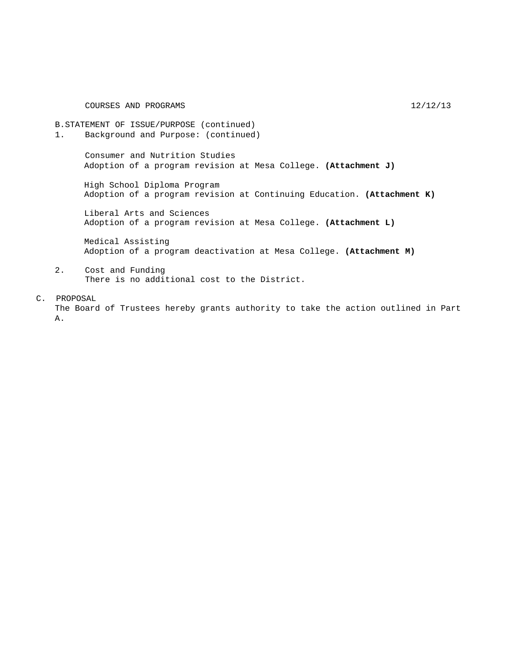COURSES AND PROGRAMS 12/12/13

B.STATEMENT OF ISSUE/PURPOSE (continued) 1. Background and Purpose: (continued)

> Consumer and Nutrition Studies Adoption of a program revision at Mesa College. **(Attachment J)**

High School Diploma Program Adoption of a program revision at Continuing Education. **(Attachment K)**

Liberal Arts and Sciences Adoption of a program revision at Mesa College. **(Attachment L)**

Medical Assisting Adoption of a program deactivation at Mesa College. **(Attachment M)**

- 2. Cost and Funding There is no additional cost to the District.
- C. PROPOSAL

The Board of Trustees hereby grants authority to take the action outlined in Part A.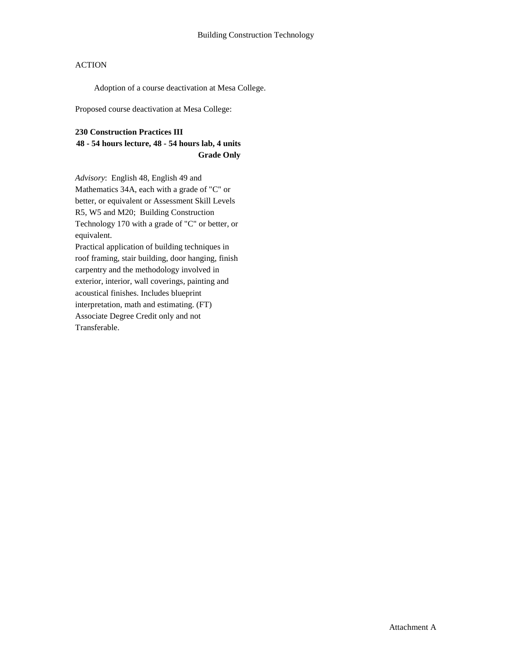Adoption of a course deactivation at Mesa College.

Proposed course deactivation at Mesa College:

#### **230 Construction Practices III**

### **48 - 54 hours lecture, 48 - 54 hours lab, 4 units Grade Only**

*Advisory*: English 48, English 49 and Mathematics 34A, each with a grade of "C" or better, or equivalent or Assessment Skill Levels R5, W5 and M20; Building Construction Technology 170 with a grade of "C" or better, or equivalent. Practical application of building techniques in roof framing, stair building, door hanging, finish carpentry and the methodology involved in exterior, interior, wall coverings, painting and acoustical finishes. Includes blueprint interpretation, math and estimating. (FT)

Associate Degree Credit only and not Transferable.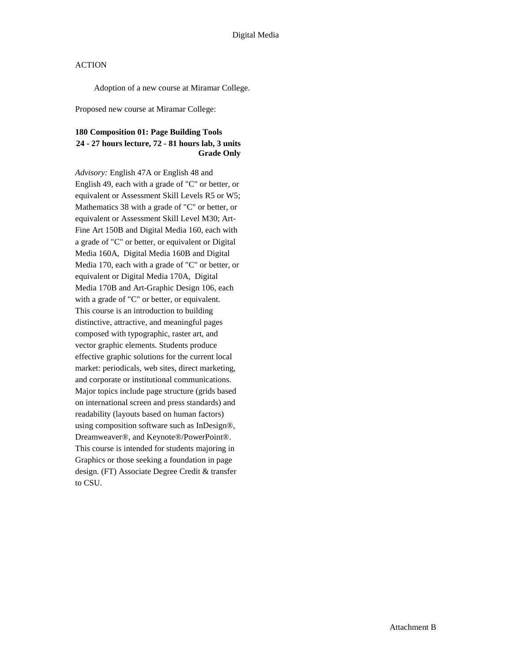Adoption of a new course at Miramar College.

Proposed new course at Miramar College:

### **180 Composition 01: Page Building Tools 24 - 27 hours lecture, 72 - 81 hours lab, 3 units Grade Only**

*Advisory:* English 47A or English 48 and English 49, each with a grade of "C" or better, or equivalent or Assessment Skill Levels R5 or W5; Mathematics 38 with a grade of "C" or better, or equivalent or Assessment Skill Level M30; Art-Fine Art 150B and Digital Media 160, each with a grade of "C" or better, or equivalent or Digital Media 160A, Digital Media 160B and Digital Media 170, each with a grade of "C" or better, or equivalent or Digital Media 170A, Digital Media 170B and Art-Graphic Design 106, each with a grade of "C" or better, or equivalent. This course is an introduction to building distinctive, attractive, and meaningful pages composed with typographic, raster art, and vector graphic elements. Students produce effective graphic solutions for the current local market: periodicals, web sites, direct marketing, and corporate or institutional communications. Major topics include page structure (grids based on international screen and press standards) and readability (layouts based on human factors) using composition software such as InDesign®, Dreamweaver®, and Keynote®/PowerPoint®. This course is intended for students majoring in Graphics or those seeking a foundation in page design. (FT) Associate Degree Credit & transfer to CSU.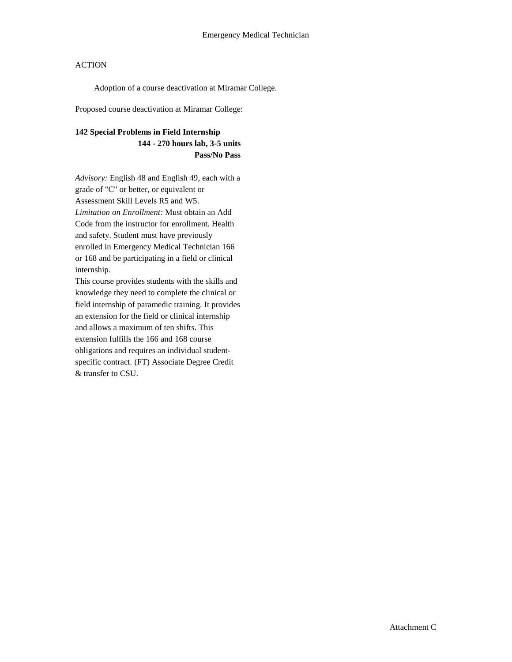Adoption of a course deactivation at Miramar College.

Proposed course deactivation at Miramar College:

### **142 Special Problems in Field Internship**

**144 - 270 hours lab, 3-5 units Pass/No Pass**

*Advisory:* English 48 and English 49, each with a grade of "C" or better, or equivalent or Assessment Skill Levels R5 and W5. *Limitation on Enrollment:* Must obtain an Add Code from the instructor for enrollment. Health and safety. Student must have previously enrolled in Emergency Medical Technician 166 or 168 and be participating in a field or clinical internship.

This course provides students with the skills and knowledge they need to complete the clinical or field internship of paramedic training. It provides an extension for the field or clinical internship and allows a maximum of ten shifts. This extension fulfills the 166 and 168 course obligations and requires an individual studentspecific contract. (FT) Associate Degree Credit & transfer to CSU.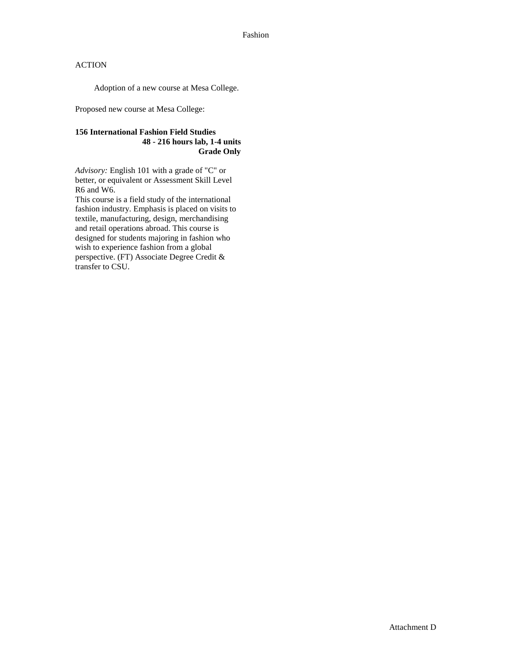Adoption of a new course at Mesa College.

Proposed new course at Mesa College:

### **156 International Fashion Field Studies 48 - 216 hours lab, 1-4 units Grade Only**

*Advisory:* English 101 with a grade of "C" or better, or equivalent or Assessment Skill Level R6 and W6.

This course is a field study of the international fashion industry. Emphasis is placed on visits to textile, manufacturing, design, merchandising and retail operations abroad. This course is designed for students majoring in fashion who wish to experience fashion from a global perspective. (FT) Associate Degree Credit & transfer to CSU.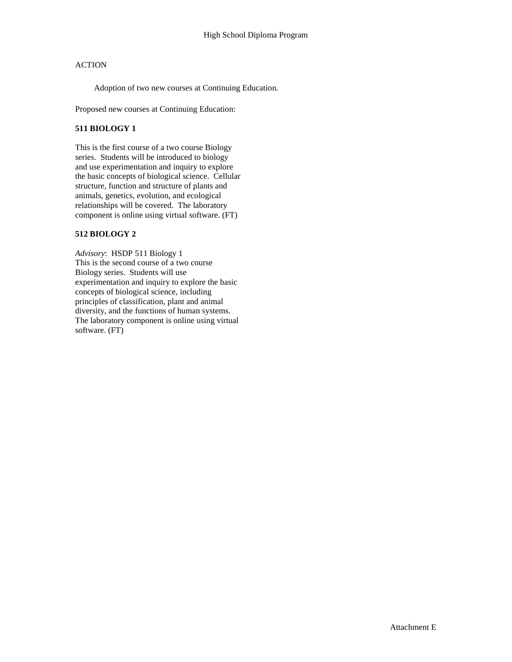Adoption of two new courses at Continuing Education.

Proposed new courses at Continuing Education:

#### **511 BIOLOGY 1**

This is the first course of a two course Biology series. Students will be introduced to biology and use experimentation and inquiry to explore the basic concepts of biological science. Cellular structure, function and structure of plants and animals, genetics, evolution, and ecological relationships will be covered. The laboratory component is online using virtual software. (FT)

### **512 BIOLOGY 2**

*Advisory*: HSDP 511 Biology 1 This is the second course of a two course Biology series. Students will use experimentation and inquiry to explore the basic concepts of biological science, including principles of classification, plant and animal diversity, and the functions of human systems. The laboratory component is online using virtual software. (FT)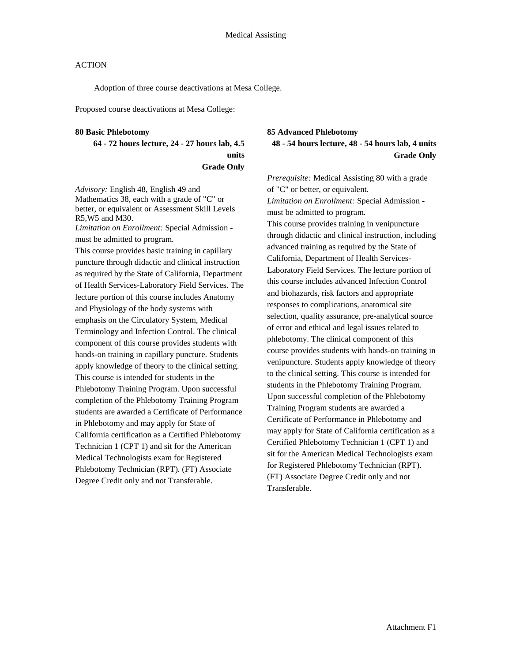Adoption of three course deactivations at Mesa College.

Proposed course deactivations at Mesa College:

#### **80 Basic Phlebotomy**

**64 - 72 hours lecture, 24 - 27 hours lab, 4.5 units Grade Only**

*Advisory:* English 48, English 49 and Mathematics 38, each with a grade of "C" or better, or equivalent or Assessment Skill Levels R5,W5 and M30.

*Limitation on Enrollment:* Special Admission must be admitted to program.

This course provides basic training in capillary puncture through didactic and clinical instruction as required by the State of California, Department of Health Services-Laboratory Field Services. The lecture portion of this course includes Anatomy and Physiology of the body systems with emphasis on the Circulatory System, Medical Terminology and Infection Control. The clinical component of this course provides students with hands-on training in capillary puncture. Students apply knowledge of theory to the clinical setting. This course is intended for students in the Phlebotomy Training Program. Upon successful completion of the Phlebotomy Training Program students are awarded a Certificate of Performance in Phlebotomy and may apply for State of California certification as a Certified Phlebotomy Technician 1 (CPT 1) and sit for the American Medical Technologists exam for Registered Phlebotomy Technician (RPT). (FT) Associate Degree Credit only and not Transferable.

### **85 Advanced Phlebotomy 48 - 54 hours lecture, 48 - 54 hours lab, 4 units Grade Only**

*Prerequisite:* Medical Assisting 80 with a grade of "C" or better, or equivalent. *Limitation on Enrollment:* Special Admission must be admitted to program. This course provides training in venipuncture through didactic and clinical instruction, including advanced training as required by the State of California, Department of Health Services-Laboratory Field Services. The lecture portion of this course includes advanced Infection Control and biohazards, risk factors and appropriate responses to complications, anatomical site selection, quality assurance, pre-analytical source of error and ethical and legal issues related to phlebotomy. The clinical component of this course provides students with hands-on training in venipuncture. Students apply knowledge of theory to the clinical setting. This course is intended for students in the Phlebotomy Training Program. Upon successful completion of the Phlebotomy Training Program students are awarded a Certificate of Performance in Phlebotomy and may apply for State of California certification as a Certified Phlebotomy Technician 1 (CPT 1) and sit for the American Medical Technologists exam for Registered Phlebotomy Technician (RPT). (FT) Associate Degree Credit only and not Transferable.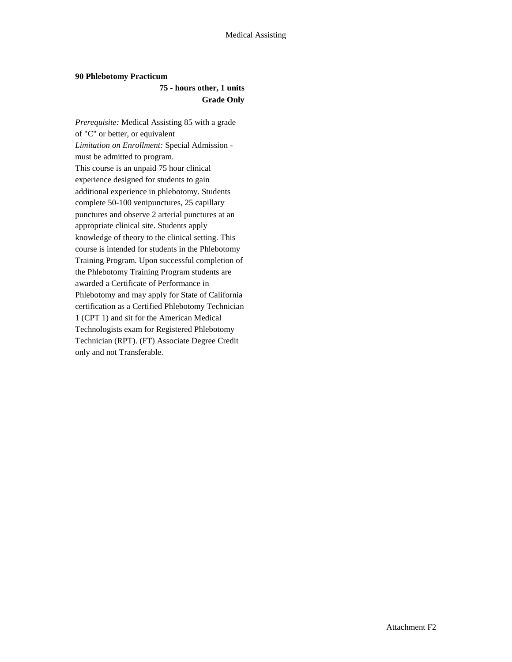#### **90 Phlebotomy Practicum**

### **75 - hours other, 1 units Grade Only**

*Prerequisite:* Medical Assisting 85 with a grade of "C" or better, or equivalent *Limitation on Enrollment:* Special Admission must be admitted to program. This course is an unpaid 75 hour clinical experience designed for students to gain additional experience in phlebotomy. Students complete 50-100 venipunctures, 25 capillary punctures and observe 2 arterial punctures at an appropriate clinical site. Students apply knowledge of theory to the clinical setting. This course is intended for students in the Phlebotomy Training Program. Upon successful completion of the Phlebotomy Training Program students are awarded a Certificate of Performance in Phlebotomy and may apply for State of California certification as a Certified Phlebotomy Technician 1 (CPT 1) and sit for the American Medical Technologists exam for Registered Phlebotomy Technician (RPT). (FT) Associate Degree Credit only and not Transferable.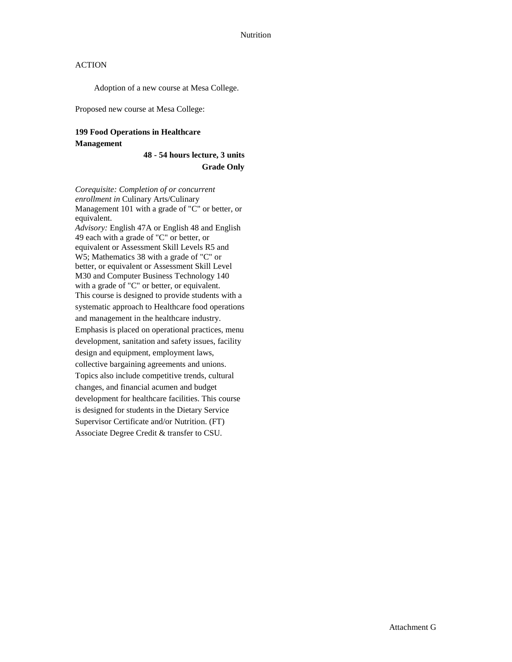Adoption of a new course at Mesa College.

Proposed new course at Mesa College:

# **199 Food Operations in Healthcare**

#### **Management**

**48 - 54 hours lecture, 3 units Grade Only**

*Corequisite: Completion of or concurrent enrollment in* Culinary Arts/Culinary Management 101 with a grade of "C" or better, or equivalent. *Advisory:* English 47A or English 48 and English 49 each with a grade of "C" or better, or equivalent or Assessment Skill Levels R5 and W5; Mathematics 38 with a grade of "C" or better, or equivalent or Assessment Skill Level M30 and Computer Business Technology 140 with a grade of "C" or better, or equivalent. This course is designed to provide students with a systematic approach to Healthcare food operations and management in the healthcare industry. Emphasis is placed on operational practices, menu development, sanitation and safety issues, facility design and equipment, employment laws, collective bargaining agreements and unions. Topics also include competitive trends, cultural changes, and financial acumen and budget development for healthcare facilities. This course is designed for students in the Dietary Service Supervisor Certificate and/or Nutrition. (FT) Associate Degree Credit & transfer to CSU.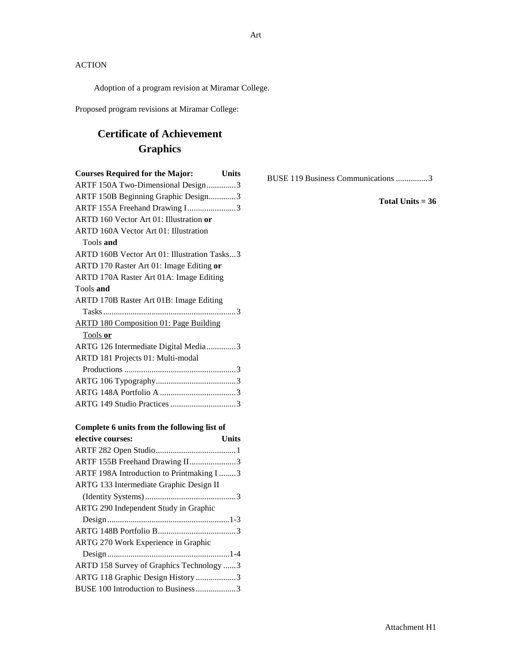Adoption of a program revision at Miramar College.

Proposed program revisions at Miramar College:

# **Certificate of Achievement Graphics**

| <b>Courses Required for the Major:</b><br><b>Units</b> |
|--------------------------------------------------------|
| ARTF 150A Two-Dimensional Design3                      |
| ARTF 150B Beginning Graphic Design3                    |
| ARTF 155A Freehand Drawing I3                          |
| ARTD 160 Vector Art 01: Illustration or                |
| <b>ARTD 160A Vector Art 01: Illustration</b>           |
| Tools and                                              |
| ARTD 160B Vector Art 01: Illustration Tasks3           |
| ARTD 170 Raster Art 01: Image Editing or               |
| ARTD 170A Raster Art 01A: Image Editing                |
| Tools and                                              |
| ARTD 170B Raster Art 01B: Image Editing                |
|                                                        |
| <b>ARTD 180 Composition 01: Page Building</b>          |
| Tools or                                               |
| ARTG 126 Intermediate Digital Media3                   |
| ARTD 181 Projects 01: Multi-modal                      |
|                                                        |
|                                                        |
|                                                        |
| ARTG 149 Studio Practices 3                            |
| Complete 6 units from the following list of            |

| elective courses:                         | Units |
|-------------------------------------------|-------|
|                                           |       |
| ARTF 155B Freehand Drawing II3            |       |
| ARTF 198A Introduction to Printmaking I 3 |       |
| ARTG 133 Intermediate Graphic Design II   |       |
|                                           |       |
| ARTG 290 Independent Study in Graphic     |       |
|                                           |       |
|                                           |       |
| ARTG 270 Work Experience in Graphic       |       |
|                                           |       |
| ARTD 158 Survey of Graphics Technology 3  |       |
| ARTG 118 Graphic Design History 3         |       |
| BUSE 100 Introduction to Business 3       |       |

BUSE 119 Business Communications ...............3

**Total Units = 36**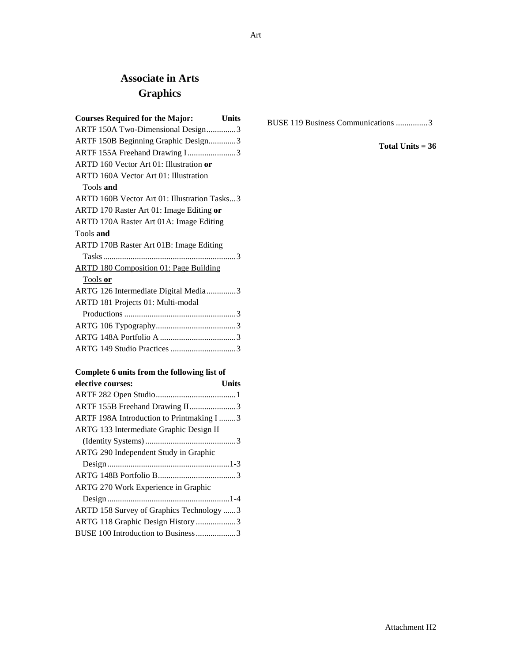# **Associate in Arts Graphics**

| <b>Courses Required for the Major:</b><br><b>Units</b> |
|--------------------------------------------------------|
| ARTF 150A Two-Dimensional Design3                      |
| ARTF 150B Beginning Graphic Design3                    |
| ARTF 155A Freehand Drawing I3                          |
| ARTD 160 Vector Art 01: Illustration or                |
| <b>ARTD 160A Vector Art 01: Illustration</b>           |
| Tools and                                              |
| ARTD 160B Vector Art 01: Illustration Tasks3           |
| ARTD 170 Raster Art 01: Image Editing or               |
| ARTD 170A Raster Art 01A: Image Editing                |
| Tools and                                              |
| ARTD 170B Raster Art 01B: Image Editing                |
|                                                        |
| <b>ARTD 180 Composition 01: Page Building</b>          |
| Tools or                                               |
| ARTG 126 Intermediate Digital Media3                   |
| ARTD 181 Projects 01: Multi-modal                      |
|                                                        |
|                                                        |
|                                                        |
| ARTG 149 Studio Practices 3                            |
|                                                        |

### **Complete 6 units from the following list of**

| elective courses:                        | Units |
|------------------------------------------|-------|
|                                          |       |
| ARTF 155B Freehand Drawing II3           |       |
| ARTF 198A Introduction to Printmaking I3 |       |
| ARTG 133 Intermediate Graphic Design II  |       |
|                                          |       |
| ARTG 290 Independent Study in Graphic    |       |
|                                          |       |
|                                          |       |
| ARTG 270 Work Experience in Graphic      |       |
|                                          |       |
| ARTD 158 Survey of Graphics Technology 3 |       |
| ARTG 118 Graphic Design History 3        |       |
| BUSE 100 Introduction to Business3       |       |
|                                          |       |

BUSE 119 Business Communications ...............3

**Total Units = 36**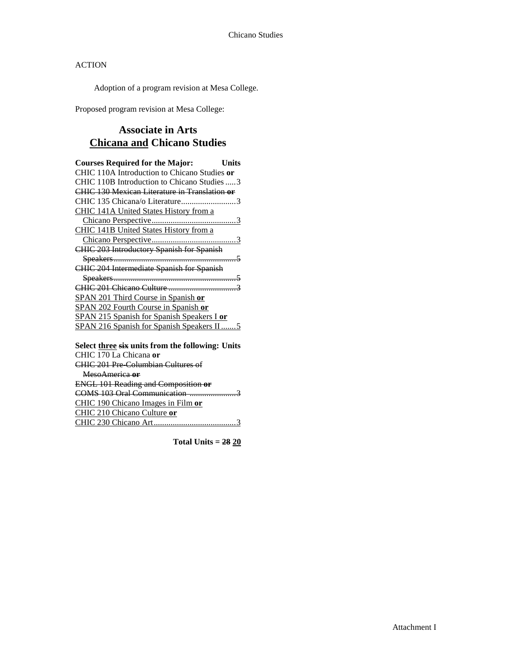Adoption of a program revision at Mesa College.

Proposed program revision at Mesa College:

# **Associate in Arts Chicana and Chicano Studies**

| <b>Courses Required for the Major:</b>                   | <b>Units</b> |
|----------------------------------------------------------|--------------|
| CHIC 110A Introduction to Chicano Studies or             |              |
| CHIC 110B Introduction to Chicano Studies  3             |              |
| <b>CHIC 130 Mexican Literature in Translation or</b>     |              |
| CHIC 135 Chicana/o Literature3                           |              |
| CHIC 141A United States History from a                   |              |
|                                                          |              |
| CHIC 141B United States History from a                   |              |
|                                                          |              |
| <b>CHIC 203 Introductory Spanish for Spanish</b>         |              |
|                                                          |              |
| CHIC 204 Intermediate Spanish for Spanish                |              |
|                                                          |              |
|                                                          |              |
| SPAN 201 Third Course in Spanish or                      |              |
| SPAN 202 Fourth Course in Spanish or                     |              |
| SPAN 215 Spanish for Spanish Speakers I or               |              |
| <b>SPAN 216 Spanish for Spanish Speakers II5</b>         |              |
| Select three six units from the following: Units         |              |
| CHIC 170 La Chicana or                                   |              |
| $CUMC(201)$ $D_{11}$ $C_1$ $1 \ldots C_1$ $L_{11}$ $C_2$ |              |

# CHIC 201 Pre-Columbian Cultures of

| MesoAmerica or                             |
|--------------------------------------------|
| <b>ENGL 101 Reading and Composition or</b> |
| COMS 103 Oral Communication.               |
| CHIC 190 Chicano Images in Film or         |
| CHIC 210 Chicano Culture or                |
| CHIC 230 Chicano Art                       |

**Total Units = 28 20**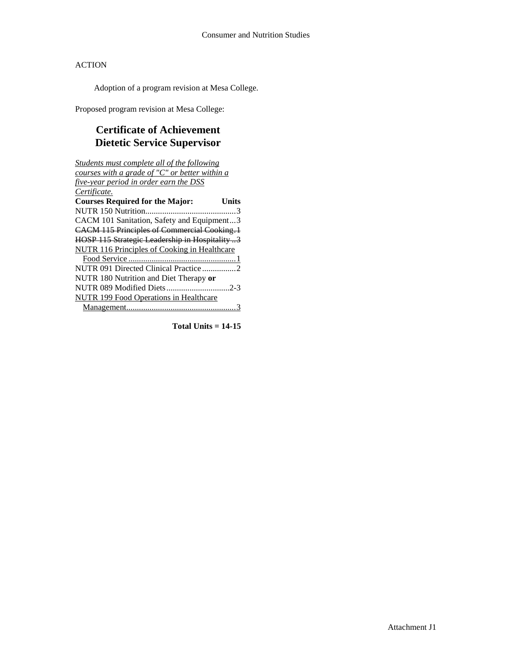Adoption of a program revision at Mesa College.

Proposed program revision at Mesa College:

# **Certificate of Achievement Dietetic Service Supervisor**

| Students must complete all of the following        |  |  |
|----------------------------------------------------|--|--|
| courses with a grade of "C" or better within a     |  |  |
| five-year period in order earn the DSS             |  |  |
| Certificate.                                       |  |  |
| <b>Courses Required for the Major:</b><br>Units    |  |  |
|                                                    |  |  |
| CACM 101 Sanitation, Safety and Equipment3         |  |  |
| <b>CACM 115 Principles of Commercial Cooking.1</b> |  |  |
| HOSP 115 Strategic Leadership in Hospitality 3     |  |  |
| NUTR 116 Principles of Cooking in Healthcare       |  |  |
|                                                    |  |  |
| NUTR 091 Directed Clinical Practice 2              |  |  |
| NUTR 180 Nutrition and Diet Therapy or             |  |  |
|                                                    |  |  |
| <b>NUTR 199 Food Operations in Healthcare</b>      |  |  |
|                                                    |  |  |

**Total Units = 14-15**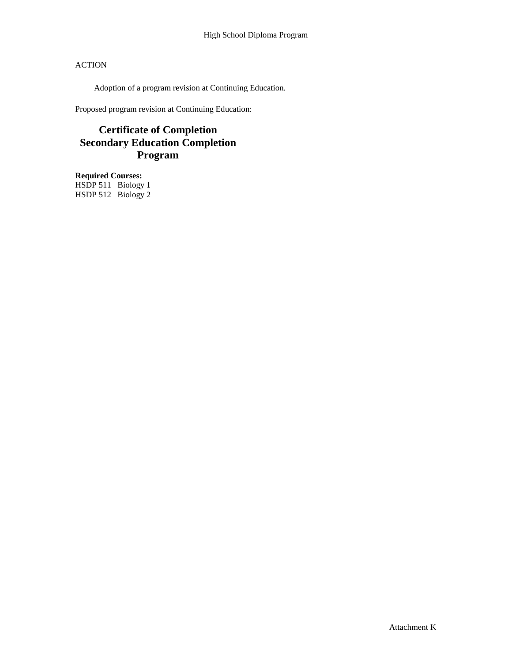Adoption of a program revision at Continuing Education.

Proposed program revision at Continuing Education:

# **Certificate of Completion Secondary Education Completion Program**

**Required Courses:** HSDP 511 Biology 1 HSDP 512 Biology 2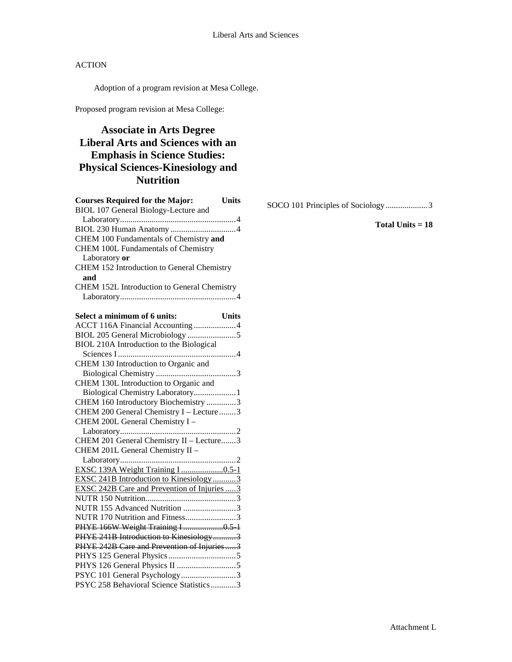Adoption of a program revision at Mesa College.

Proposed program revision at Mesa College:

# **Associate in Arts Degree Liberal Arts and Sciences with an Emphasis in Science Studies: Physical Sciences-Kinesiology and Nutrition**

| <b>Courses Required for the Major:</b><br><b>Units</b> |
|--------------------------------------------------------|
| BIOL 107 General Biology-Lecture and                   |
|                                                        |
|                                                        |
| CHEM 100 Fundamentals of Chemistry and                 |
| CHEM 100L Fundamentals of Chemistry                    |
| Laboratory or                                          |
| CHEM 152 Introduction to General Chemistry             |
| and                                                    |
| CHEM 152L Introduction to General Chemistry            |
|                                                        |
|                                                        |
| Select a minimum of 6 units:<br>Units                  |
| ACCT 116A Financial Accounting 4                       |
|                                                        |
| BIOL 210A Introduction to the Biological               |
|                                                        |
| CHEM 130 Introduction to Organic and                   |
|                                                        |
| CHEM 130L Introduction to Organic and                  |
| Biological Chemistry Laboratory 1                      |
| CHEM 160 Introductory Biochemistry 3                   |
| CHEM 200 General Chemistry I - Lecture 3               |
| CHEM 200L General Chemistry I -                        |
|                                                        |
| CHEM 201 General Chemistry II - Lecture3               |
| CHEM 201L General Chemistry II -                       |
|                                                        |
|                                                        |
| EXSC 241B Introduction to Kinesiology3                 |
| <b>EXSC 242B Care and Prevention of Injuries 3</b>     |
|                                                        |
| NUTR 155 Advanced Nutrition 3                          |
| NUTR 170 Nutrition and Fitness3                        |
| PHYE 166W Weight Training I 0.5-1                      |
| PHYE 241B Introduction to Kinesiology3                 |
| PHYE 242B Care and Prevention of Injuries3             |
|                                                        |
|                                                        |
| PSYC 101 General Psychology3                           |
| PSYC 258 Behavioral Science Statistics3                |

SOCO 101 Principles of Sociology....................3

**Total Units = 18**